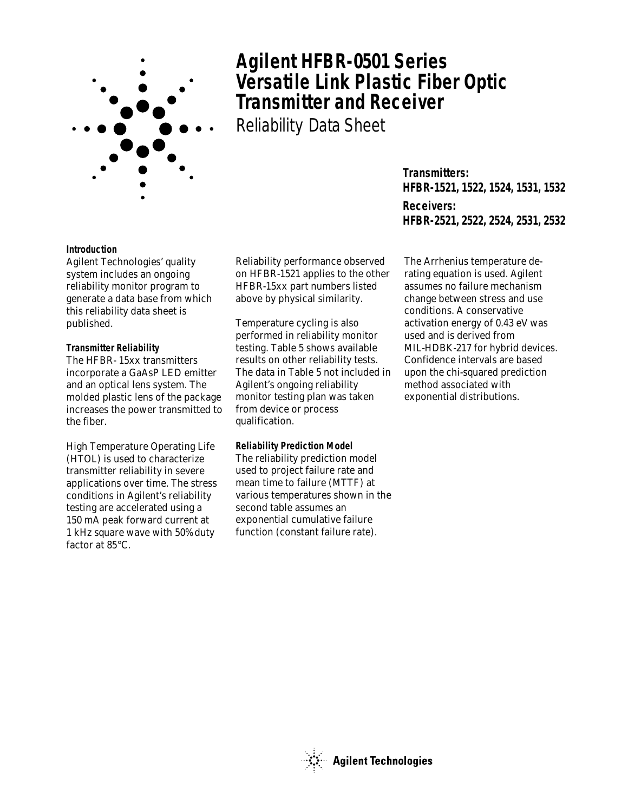

# **Agilent HFBR-0501 Series Versatile Link Plastic Fiber Optic Transmitter and Receiver**

Reliability Data Sheet

**Transmitters: HFBR-1521, 1522, 1524, 1531, 1532 Receivers: HFBR-2521, 2522, 2524, 2531, 2532**

#### **Introduction**

Agilent Technologies' quality system includes an ongoing reliability monitor program to generate a data base from which this reliability data sheet is published.

**Transmitter Reliability** The HFBR- 15xx transmitters incorporate a GaAsP LED emitter and an optical lens system. The molded plastic lens of the package increases the power transmitted to the fiber.

High Temperature Operating Life (HTOL) is used to characterize transmitter reliability in severe applications over time. The stress conditions in Agilent's reliability testing are accelerated using a 150 mA peak forward current at 1 kHz square wave with 50% duty factor at 85°C.

Reliability performance observed on HFBR-1521 applies to the other HFBR-15xx part numbers listed above by physical similarity.

Temperature cycling is also performed in reliability monitor testing. Table 5 shows available results on other reliability tests. The data in Table 5 not included in Agilent's ongoing reliability monitor testing plan was taken from device or process qualification.

**Reliability Prediction Model** The reliability prediction model used to project failure rate and mean time to failure (MTTF) at various temperatures shown in the second table assumes an exponential cumulative failure function (constant failure rate).

The Arrhenius temperature derating equation is used. Agilent assumes no failure mechanism change between stress and use conditions. A conservative activation energy of 0.43 eV was used and is derived from MIL-HDBK-217 for hybrid devices. Confidence intervals are based upon the chi-squared prediction method associated with exponential distributions.

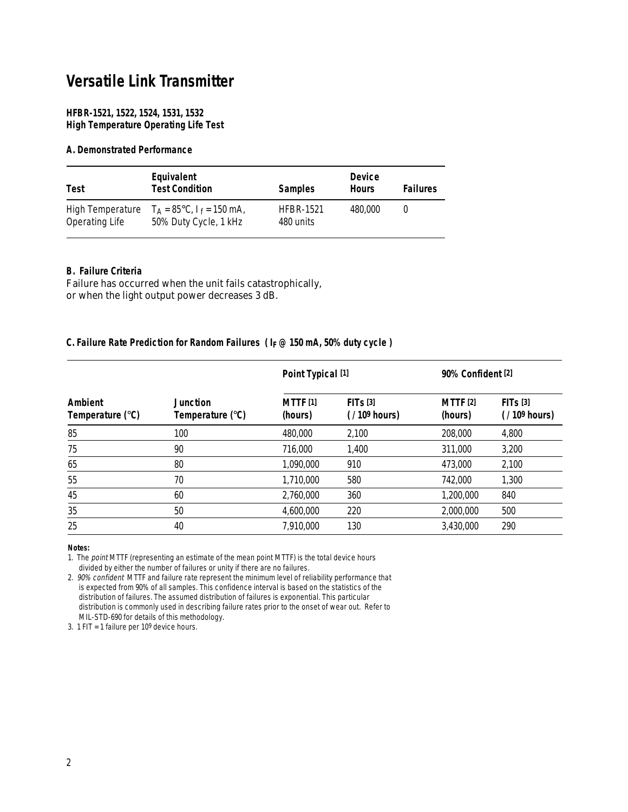## **Versatile Link Transmitter**

**HFBR-1521, 1522, 1524, 1531, 1532 High Temperature Operating Life Test**

#### **A. Demonstrated Performance**

| <b>Test</b>                        | Equivalent<br><b>Test Condition</b>                             | <b>Samples</b>                | <b>Device</b><br><b>Hours</b> | <b>Failures</b> |
|------------------------------------|-----------------------------------------------------------------|-------------------------------|-------------------------------|-----------------|
| High Temperature<br>Operating Life | $T_A = 85^{\circ}$ C, I $_f = 150$ mA,<br>50% Duty Cycle, 1 kHz | <b>HFBR-1521</b><br>480 units | 480,000                       |                 |

### **B. Failure Criteria**

Failure has occurred when the unit fails catastrophically, or when the light output power decreases 3 dB.

#### **C. Failure Rate Prediction for Random Failures ( IF @ 150 mA, 50% duty cycle )**

|                                            | Junction<br>Temperature (°C) | Point Typical [1]          |                          |                            | 90% Confident [2]        |  |
|--------------------------------------------|------------------------------|----------------------------|--------------------------|----------------------------|--------------------------|--|
| Ambient<br>Temperature $(^\circ \text{C})$ |                              | <b>MTTF [1]</b><br>(hours) | FIS[3]<br>$(1109$ hours) | <b>MTTF [2]</b><br>(hours) | FIS[3]<br>$(1109$ hours) |  |
| 85                                         | 100                          | 480,000                    | 2,100                    | 208,000                    | 4,800                    |  |
| 75                                         | 90                           | 716.000                    | 1,400                    | 311,000                    | 3,200                    |  |
| 65                                         | 80                           | 1,090,000                  | 910                      | 473,000                    | 2,100                    |  |
| 55                                         | 70                           | 1,710,000                  | 580                      | 742,000                    | 1,300                    |  |
| 45                                         | 60                           | 2,760,000                  | 360                      | 1,200,000                  | 840                      |  |
| 35                                         | 50                           | 4,600,000                  | 220                      | 2,000,000                  | 500                      |  |
| 25                                         | 40                           | 7,910,000                  | 130                      | 3,430,000                  | 290                      |  |

#### **Notes:**

1. The point MTTF (representing an estimate of the mean point MTTF) is the total device hours divided by either the number of failures or unity if there are no failures.

2. 90% confident MTTF and failure rate represent the minimum level of reliability performance that is expected from 90% of all samples. This confidence interval is based on the statistics of the distribution of failures. The assumed distribution of failures is exponential. This particular distribution is commonly used in describing failure rates prior to the onset of wear out. Refer to MIL-STD-690 for details of this methodology.

3. 1 FIT = 1 failure per 109 device hours.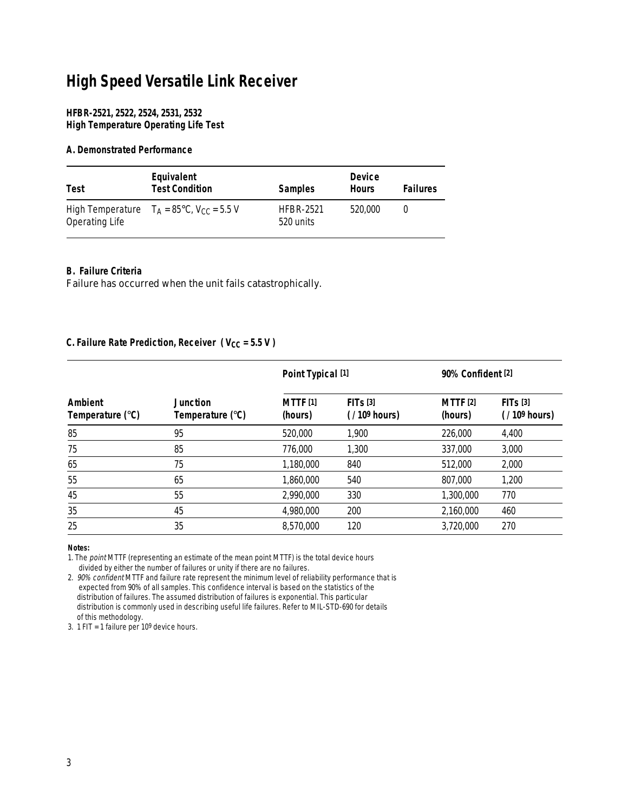## **High Speed Versatile Link Receiver**

#### **HFBR-2521, 2522, 2524, 2531, 2532 High Temperature Operating Life Test**

#### **A. Demonstrated Performance**

| <b>Test</b>    | Equivalent<br><b>Test Condition</b>                     | <b>Samples</b>                | <b>Device</b><br><b>Hours</b> | <b>Failures</b> |
|----------------|---------------------------------------------------------|-------------------------------|-------------------------------|-----------------|
| Operating Life | High Temperature $T_A = 85^{\circ}C$ , $V_{CC} = 5.5 V$ | <b>HFBR-2521</b><br>520 units | 520,000                       |                 |

#### **B. Failure Criteria**

Failure has occurred when the unit fails catastrophically.

### **C. Failure Rate Prediction, Receiver (Vcc = 5.5 V)**

|                                            | <b>Junction</b><br>Temperature (°C) | Point Typical [1]          |                          |                            | 90% Confident [2]        |  |
|--------------------------------------------|-------------------------------------|----------------------------|--------------------------|----------------------------|--------------------------|--|
| Ambient<br>Temperature $(^\circ \text{C})$ |                                     | <b>MTTF</b> [1]<br>(hours) | FIS[3]<br>$(1109$ hours) | <b>MTTF [2]</b><br>(hours) | FIS[3]<br>$(1109$ hours) |  |
| 85                                         | 95                                  | 520,000                    | 1,900                    | 226,000                    | 4,400                    |  |
| 75                                         | 85                                  | 776,000                    | 1,300                    | 337,000                    | 3,000                    |  |
| 65                                         | 75                                  | 1,180,000                  | 840                      | 512,000                    | 2,000                    |  |
| 55                                         | 65                                  | 1,860,000                  | 540                      | 807,000                    | 1,200                    |  |
| 45                                         | 55                                  | 2.990.000                  | 330                      | 1,300,000                  | 770                      |  |
| 35                                         | 45                                  | 4,980,000                  | 200                      | 2,160,000                  | 460                      |  |
| 25                                         | 35                                  | 8,570,000                  | 120                      | 3,720,000                  | 270                      |  |

#### **Notes:**

1. The point MTTF (representing an estimate of the mean point MTTF) is the total device hours divided by either the number of failures or unity if there are no failures.

2. 90% confident MTTF and failure rate represent the minimum level of reliability performance that is expected from 90% of all samples. This confidence interval is based on the statistics of the distribution of failures. The assumed distribution of failures is exponential. This particular distribution is commonly used in describing useful life failures. Refer to MIL-STD-690 for details of this methodology.

3.  $1$  FIT = 1 failure per 109 device hours.